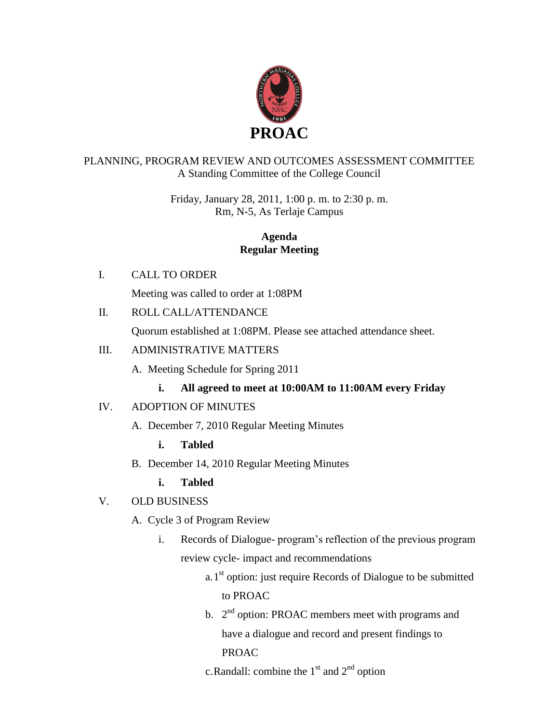

## PLANNING, PROGRAM REVIEW AND OUTCOMES ASSESSMENT COMMITTEE A Standing Committee of the College Council

Friday, January 28, 2011, 1:00 p. m. to 2:30 p. m. Rm, N-5, As Terlaje Campus

## **Agenda Regular Meeting**

I. CALL TO ORDER

Meeting was called to order at 1:08PM

II. ROLL CALL/ATTENDANCE

Quorum established at 1:08PM. Please see attached attendance sheet.

## III. ADMINISTRATIVE MATTERS

A. Meeting Schedule for Spring 2011

# **i. All agreed to meet at 10:00AM to 11:00AM every Friday**

# IV. ADOPTION OF MINUTES

A. December 7, 2010 Regular Meeting Minutes

**i. Tabled**

B. December 14, 2010 Regular Meeting Minutes

**i. Tabled**

- V. OLD BUSINESS
	- A. Cycle 3 of Program Review
		- i. Records of Dialogue- program's reflection of the previous program review cycle- impact and recommendations
			- a.  $1<sup>st</sup>$  option: just require Records of Dialogue to be submitted to PROAC
			- b.  $2<sup>nd</sup>$  option: PROAC members meet with programs and have a dialogue and record and present findings to PROAC

c. Randall: combine the  $1<sup>st</sup>$  and  $2<sup>nd</sup>$  option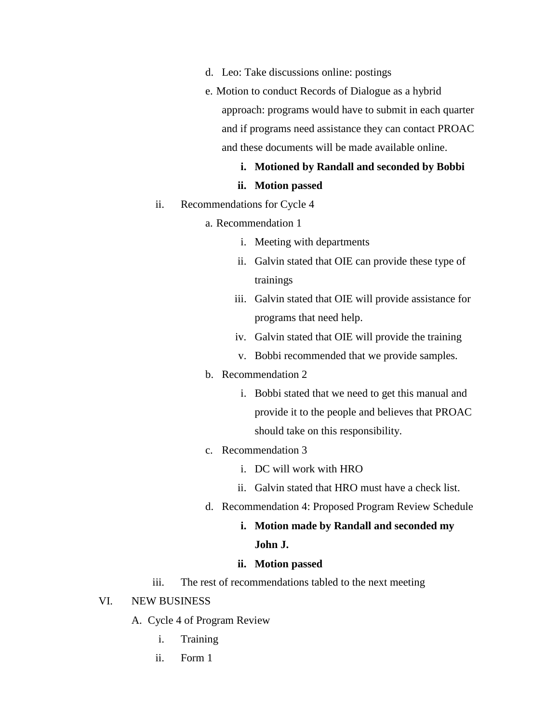- d. Leo: Take discussions online: postings
- e. Motion to conduct Records of Dialogue as a hybrid approach: programs would have to submit in each quarter and if programs need assistance they can contact PROAC and these documents will be made available online.

### **i. Motioned by Randall and seconded by Bobbi**

### **ii. Motion passed**

- ii. Recommendations for Cycle 4
	- a. Recommendation 1
		- i. Meeting with departments
		- ii. Galvin stated that OIE can provide these type of trainings
		- iii. Galvin stated that OIE will provide assistance for programs that need help.
		- iv. Galvin stated that OIE will provide the training
		- v. Bobbi recommended that we provide samples.

### b. Recommendation 2

- i. Bobbi stated that we need to get this manual and provide it to the people and believes that PROAC should take on this responsibility.
- c. Recommendation 3
	- i. DC will work with HRO
	- ii. Galvin stated that HRO must have a check list.
- d. Recommendation 4: Proposed Program Review Schedule
	- **i. Motion made by Randall and seconded my**

### **John J.**

### **ii. Motion passed**

iii. The rest of recommendations tabled to the next meeting

#### VI. NEW BUSINESS

- A. Cycle 4 of Program Review
	- i. Training
	- ii. Form 1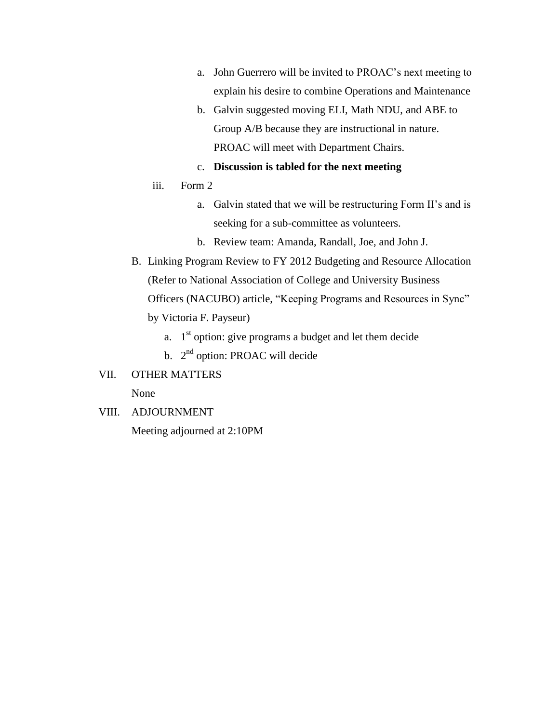- a. John Guerrero will be invited to PROAC's next meeting to explain his desire to combine Operations and Maintenance
- b. Galvin suggested moving ELI, Math NDU, and ABE to Group A/B because they are instructional in nature. PROAC will meet with Department Chairs.
- c. **Discussion is tabled for the next meeting**
- iii. Form 2
	- a. Galvin stated that we will be restructuring Form II's and is seeking for a sub-committee as volunteers.
	- b. Review team: Amanda, Randall, Joe, and John J.
- B. Linking Program Review to FY 2012 Budgeting and Resource Allocation (Refer to National Association of College and University Business Officers (NACUBO) article, "Keeping Programs and Resources in Sync" by Victoria F. Payseur)
	- a.  $1<sup>st</sup>$  option: give programs a budget and let them decide
	- b.  $2<sup>nd</sup>$  option: PROAC will decide
- VII. OTHER MATTERS

None

VIII. ADJOURNMENT Meeting adjourned at 2:10PM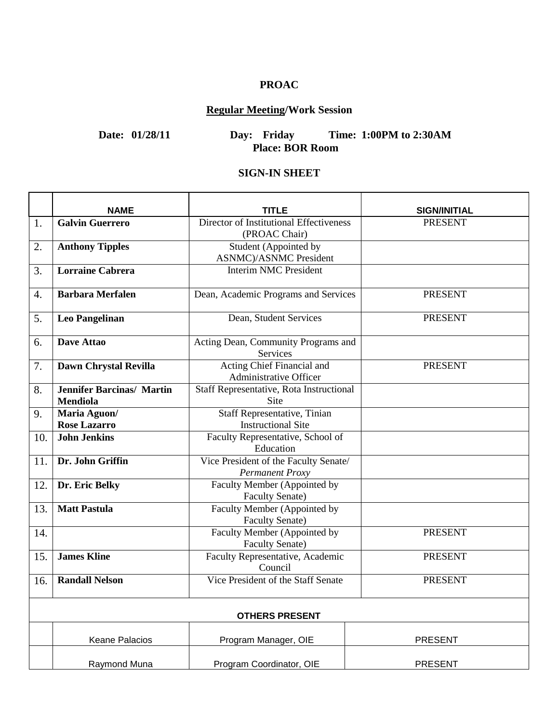# **PROAC**

# **Regular Meeting/Work Session**

# **Date: 01/28/11 Day: Friday Time: 1:00PM to 2:30AM Place: BOR Room**

## **SIGN-IN SHEET**

|                       | <b>NAME</b>                      | <b>TITLE</b>                                             | <b>SIGN/INITIAL</b> |  |
|-----------------------|----------------------------------|----------------------------------------------------------|---------------------|--|
| 1.                    | <b>Galvin Guerrero</b>           | Director of Institutional Effectiveness<br>(PROAC Chair) | <b>PRESENT</b>      |  |
| 2.                    | <b>Anthony Tipples</b>           | Student (Appointed by<br><b>ASNMC</b> )/ASNMC President  |                     |  |
| 3.                    | <b>Lorraine Cabrera</b>          | <b>Interim NMC President</b>                             |                     |  |
| 4.                    | <b>Barbara Merfalen</b>          | Dean, Academic Programs and Services                     | <b>PRESENT</b>      |  |
| 5.                    | <b>Leo Pangelinan</b>            | Dean, Student Services                                   | <b>PRESENT</b>      |  |
| 6.                    | Dave Attao                       | Acting Dean, Community Programs and<br>Services          |                     |  |
| 7.                    | Dawn Chrystal Revilla            | Acting Chief Financial and<br>Administrative Officer     | <b>PRESENT</b>      |  |
| 8.                    | <b>Jennifer Barcinas/ Martin</b> | Staff Representative, Rota Instructional                 |                     |  |
|                       | Mendiola                         | Site                                                     |                     |  |
| 9.                    | Maria Aguon/                     | <b>Staff Representative, Tinian</b>                      |                     |  |
|                       | <b>Rose Lazarro</b>              | <b>Instructional Site</b>                                |                     |  |
| 10.                   | <b>John Jenkins</b>              | Faculty Representative, School of                        |                     |  |
|                       |                                  | Education                                                |                     |  |
| 11.                   | Dr. John Griffin                 | Vice President of the Faculty Senate/<br>Permanent Proxy |                     |  |
| 12.                   | Dr. Eric Belky                   | Faculty Member (Appointed by<br><b>Faculty Senate)</b>   |                     |  |
| 13.                   | <b>Matt Pastula</b>              | Faculty Member (Appointed by<br><b>Faculty Senate)</b>   |                     |  |
| 14.                   |                                  | Faculty Member (Appointed by<br><b>Faculty Senate)</b>   | <b>PRESENT</b>      |  |
| 15.                   | <b>James Kline</b>               | Faculty Representative, Academic<br>Council              | <b>PRESENT</b>      |  |
| 16.                   | <b>Randall Nelson</b>            | Vice President of the Staff Senate                       | <b>PRESENT</b>      |  |
| <b>OTHERS PRESENT</b> |                                  |                                                          |                     |  |
|                       | <b>Keane Palacios</b>            | Program Manager, OIE                                     | <b>PRESENT</b>      |  |
|                       | Raymond Muna                     | Program Coordinator, OIE                                 | <b>PRESENT</b>      |  |